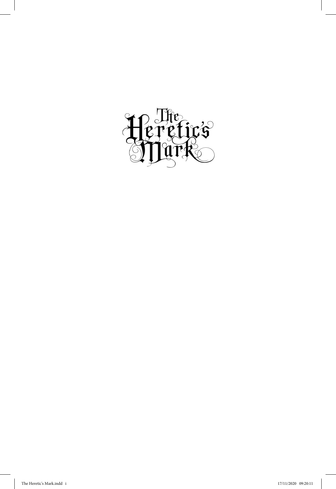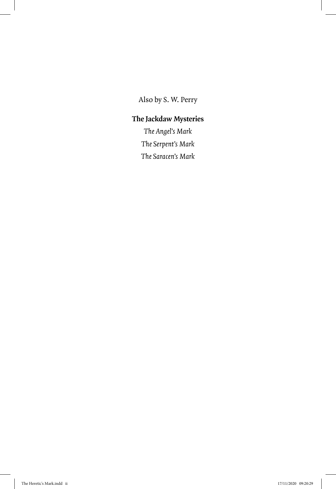Also by S. W. Perry

### The Jackdaw Mysteries

The Angel's Mark The Serpent's Mark The Saracen's Mark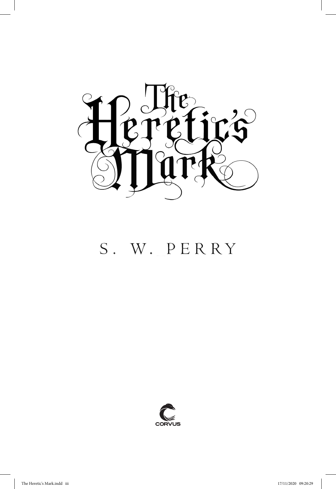

# S. W. PERRY



The Heretic's Mark.indd iii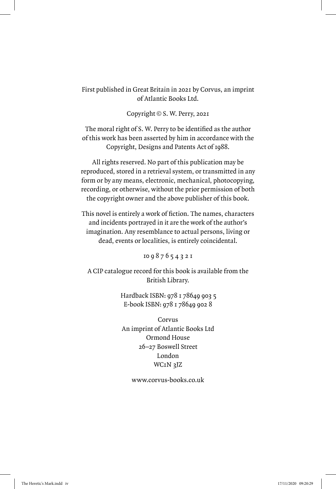First published in Great Britain in 2021 by Corvus, an imprint of Atlantic Books Ltd.

Copyright © S. W. Perry, 2021

The moral right of S. W. Perry to be identified as the author of this work has been asserted by him in accordance with the Copyright, Designs and Patents Act of 1988.

All rights reserved. No part of this publication may be reproduced, stored in a retrieval system, or transmitted in any form or by any means, electronic, mechanical, photocopying, recording, or otherwise, without the prior permission of both the copyright owner and the above publisher of this book.

This novel is entirely a work of fiction. The names, characters and incidents portrayed in it are the work of the author's imagination. Any resemblance to actual persons, living or dead, events or localities, is entirely coincidental.

10 9 8 7 6 5 4 3 2 1

A CIP catalogue record for this book is available from the British Library.

> Hardback ISBN: 978 1 78649 903 5 E-book ISBN: 978 1 78649 902 8

Corvus An imprint of Atlantic Books Ltd Ormond House 26–27 Boswell Street London WC1N 3JZ

www.corvus-books.co.uk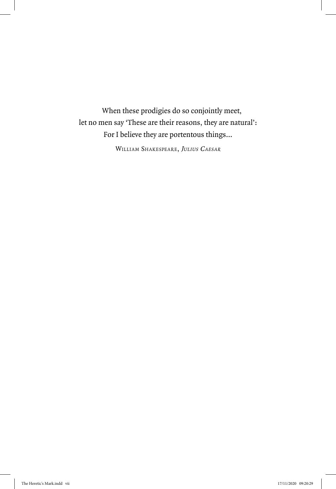When these prodigies do so conjointly meet, let no men say 'These are their reasons, they are natural': For I believe they are portentous things...

WILLIAM SHAKESPEARE, JULIUS CAESAR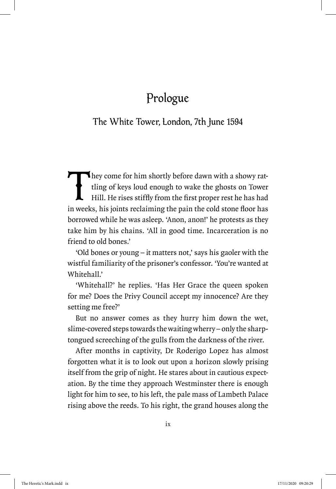### Prologue

### The White Tower, London, 7th June 1594

They come for him shortly before dawn with a showy rat-<br>tling of keys loud enough to wake the ghosts on Tower<br>Hill. He rises stiffly from the first proper rest he has had<br>in weeks his joints reclaiming the pain the cold st tling of keys loud enough to wake the ghosts on Tower Hill. He rises stiffly from the first proper rest he has had in weeks, his joints reclaiming the pain the cold stone floor has borrowed while he was asleep. 'Anon, anon!' he protests as they take him by his chains. 'All in good time. Incarceration is no friend to old bones.'

'Old bones or young – it matters not,' says his gaoler with the wistful familiarity of the prisoner's confessor. 'You're wanted at Whitehall.'

'Whitehall?' he replies. 'Has Her Grace the queen spoken for me? Does the Privy Council accept my innocence? Are they setting me free?'

But no answer comes as they hurry him down the wet, slime-covered steps towards the waiting wherry – only the sharptongued screeching of the gulls from the darkness of the river.

After months in captivity, Dr Roderigo Lopez has almost forgotten what it is to look out upon a horizon slowly prising itself from the grip of night. He stares about in cautious expectation. By the time they approach Westminster there is enough light for him to see, to his left, the pale mass of Lambeth Palace rising above the reeds. To his right, the grand houses along the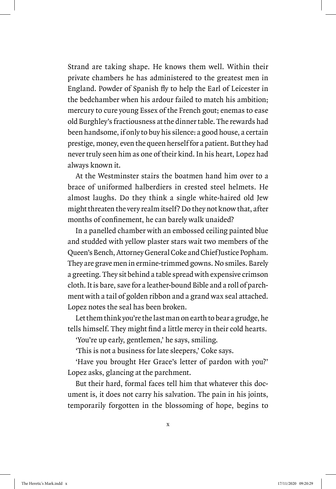Strand are taking shape. He knows them well. Within their private chambers he has administered to the greatest men in England. Powder of Spanish fly to help the Earl of Leicester in the bedchamber when his ardour failed to match his ambition; mercury to cure young Essex of the French gout; enemas to ease old Burghley's fractiousness at the dinner table. The rewards had been handsome, if only to buy his silence: a good house, a certain prestige, money, even the queen herself for a patient. But they had never truly seen him as one of their kind. In his heart, Lopez had always known it.

At the Westminster stairs the boatmen hand him over to a brace of uniformed halberdiers in crested steel helmets. He almost laughs. Do they think a single white-haired old Jew might threaten the very realm itself? Do they not know that, after months of confinement, he can barely walk unaided?

In a panelled chamber with an embossed ceiling painted blue and studded with yellow plaster stars wait two members of the Queen's Bench, Attorney General Coke and Chief Justice Popham. They are grave men in ermine-trimmed gowns. No smiles. Barely a greeting. They sit behind a table spread with expensive crimson cloth. It is bare, save for a leather-bound Bible and a roll of parchment with a tail of golden ribbon and a grand wax seal attached. Lopez notes the seal has been broken.

Let them think you're the last man on earth to bear a grudge, he tells himself. They might find a little mercy in their cold hearts.

'You're up early, gentlemen,' he says, smiling.

'This is not a business for late sleepers,' Coke says.

'Have you brought Her Grace's letter of pardon with you?' Lopez asks, glancing at the parchment.

But their hard, formal faces tell him that whatever this document is, it does not carry his salvation. The pain in his joints, temporarily forgotten in the blossoming of hope, begins to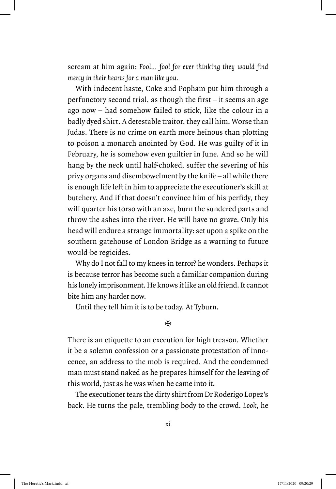scream at him again: Fool... fool for ever thinking they would find *mercy in their hearts for a man like you.*

With indecent haste, Coke and Popham put him through a perfunctory second trial, as though the first  $-$  it seems an age ago now – had somehow failed to stick, like the colour in a badly dyed shirt. A detestable traitor, they call him. Worse than Judas. There is no crime on earth more heinous than plotting to poison a monarch anointed by God. He was guilty of it in February, he is somehow even guiltier in June. And so he will hang by the neck until half-choked, suffer the severing of his privy organs and disembowelment by the knife – all while there is enough life left in him to appreciate the executioner's skill at butchery. And if that doesn't convince him of his perfidy, they will quarter his torso with an axe, burn the sundered parts and throw the ashes into the river. He will have no grave. Only his head will endure a strange immortality: set upon a spike on the southern gatehouse of London Bridge as a warning to future would-be regicides.

Why do I not fall to my knees in terror? he wonders. Perhaps it is because terror has become such a familiar companion during his lonely imprisonment. He knows it like an old friend. It cannot bite him any harder now.

Until they tell him it is to be today. At Tyburn.

#### -

There is an etiquette to an execution for high treason. Whether it be a solemn confession or a passionate protestation of innocence, an address to the mob is required. And the condemned man must stand naked as he prepares himself for the leaving of this world, just as he was when he came into it.

The executioner tears the dirty shirt from Dr Roderigo Lopez's back. He turns the pale, trembling body to the crowd. *Look*, he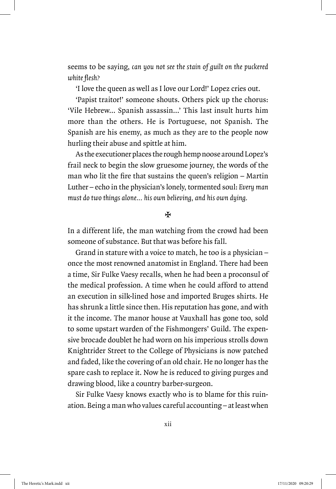seems to be saying, *can you not see the stain of guilt on the puckered white fl esh?* 

'I love the queen as well as I love our Lord!' Lopez cries out.

'Papist traitor!' someone shouts. Others pick up the chorus: 'Vile Hebrew… Spanish assassin…' This last insult hurts him more than the others. He is Portuguese, not Spanish. The Spanish are his enemy, as much as they are to the people now hurling their abuse and spittle at him.

As the executioner places the rough hemp noose around Lopez's frail neck to begin the slow gruesome journey, the words of the man who lit the fire that sustains the queen's religion  $-$  Martin Luther – echo in the physician's lonely, tormented soul: *Every man must do two things alone… his own believing, and his own dying.*

#### -

In a different life, the man watching from the crowd had been someone of substance. But that was before his fall.

Grand in stature with a voice to match, he too is a physician – once the most renowned anatomist in England. There had been a time, Sir Fulke Vaesy recalls, when he had been a proconsul of the medical profession. A time when he could afford to attend an execution in silk-lined hose and imported Bruges shirts. He has shrunk a little since then. His reputation has gone, and with it the income. The manor house at Vauxhall has gone too, sold to some upstart warden of the Fishmongers' Guild. The expensive brocade doublet he had worn on his imperious strolls down Knightrider Street to the College of Physicians is now patched and faded, like the covering of an old chair. He no longer has the spare cash to replace it. Now he is reduced to giving purges and drawing blood, like a country barber-surgeon.

Sir Fulke Vaesy knows exactly who is to blame for this ruination. Being a man who values careful accounting – at least when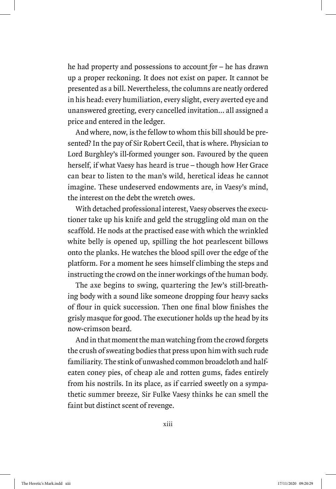he had property and possessions to account *for* – he has drawn up a proper reckoning. It does not exist on paper. It cannot be presented as a bill. Nevertheless, the columns are neatly ordered in his head: every humiliation, every slight, every averted eye and unanswered greeting, every cancelled invitation… all assigned a price and entered in the ledger.

And where, now, is the fellow to whom this bill should be presented? In the pay of Sir Robert Cecil, that is where. Physician to Lord Burghley's ill-formed younger son. Favoured by the queen herself, if what Vaesy has heard is true – though how Her Grace can bear to listen to the man's wild, heretical ideas he cannot imagine. These undeserved endowments are, in Vaesy's mind, the interest on the debt the wretch owes.

With detached professional interest, Vaesy observes the executioner take up his knife and geld the struggling old man on the scaffold. He nods at the practised ease with which the wrinkled white belly is opened up, spilling the hot pearlescent billows onto the planks. He watches the blood spill over the edge of the platform. For a moment he sees himself climbing the steps and instructing the crowd on the inner workings of the human body.

The axe begins to swing, quartering the Jew's still-breathing body with a sound like someone dropping four heavy sacks of flour in quick succession. Then one final blow finishes the grisly masque for good. The executioner holds up the head by its now-crimson beard.

And in that moment the man watching from the crowd forgets the crush of sweating bodies that press upon him with such rude familiarity. The stink of unwashed common broadcloth and halfeaten coney pies, of cheap ale and rotten gums, fades entirely from his nostrils. In its place, as if carried sweetly on a sympathetic summer breeze, Sir Fulke Vaesy thinks he can smell the faint but distinct scent of revenge.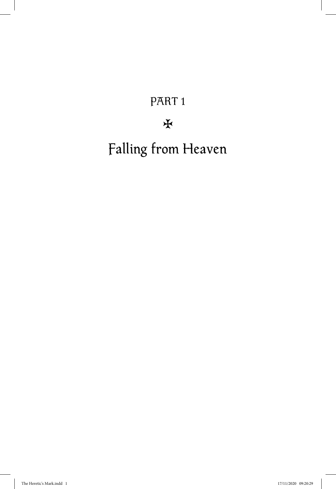## PART 1

## $\bigstar$

# Falling from Heaven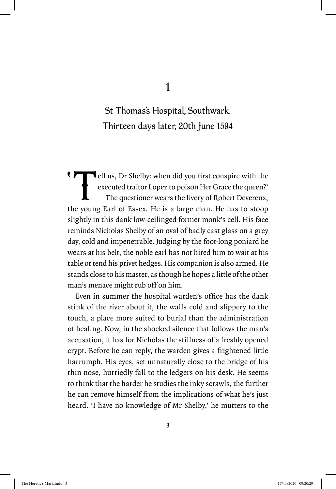1

St Thomas's Hospital, Southwark. Thirteen days later, 20th June 1594

**'**<br>'  $\P$ ell us, Dr Shelby: when did you first conspire with the executed traitor Lopez to poison Her Grace the queen?' The questioner wears the livery of Robert Devereux, the young Earl of Essex. He is a large man. He has to stoop slightly in this dank low-ceilinged former monk's cell. His face reminds Nicholas Shelby of an oval of badly cast glass on a grey day, cold and impenetrable. Judging by the foot-long poniard he wears at his belt, the noble earl has not hired him to wait at his table or tend his privet hedges. His companion is also armed. He stands close to his master, as though he hopes a little of the other man's menace might rub off on him.

Even in summer the hospital warden's office has the dank stink of the river about it, the walls cold and slippery to the touch, a place more suited to burial than the administration of healing. Now, in the shocked silence that follows the man's accusation, it has for Nicholas the stillness of a freshly opened crypt. Before he can reply, the warden gives a frightened little harrumph. His eyes, set unnaturally close to the bridge of his thin nose, hurriedly fall to the ledgers on his desk. He seems to think that the harder he studies the inky scrawls, the further he can remove himself from the implications of what he's just heard. 'I have no knowledge of Mr Shelby,' he mutters to the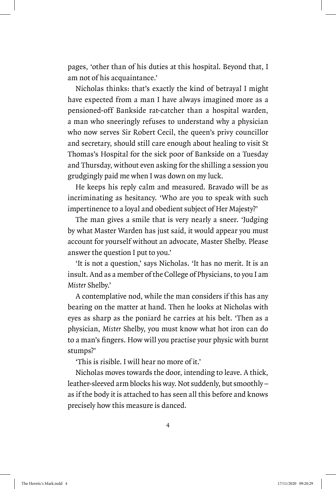pages, 'other than of his duties at this hospital. Beyond that, I am not of his acquaintance.'

Nicholas thinks: that's exactly the kind of betrayal I might have expected from a man I have always imagined more as a pensioned-off Bankside rat-catcher than a hospital warden, a man who sneeringly refuses to understand why a physician who now serves Sir Robert Cecil, the queen's privy councillor and secretary, should still care enough about healing to visit St Thomas's Hospital for the sick poor of Bankside on a Tuesday and Thursday, without even asking for the shilling a session you grudgingly paid me when I was down on my luck.

He keeps his reply calm and measured. Bravado will be as incriminating as hesitancy. 'Who are you to speak with such impertinence to a loyal and obedient subject of Her Majesty?'

The man gives a smile that is very nearly a sneer. 'Judging by what Master Warden has just said, it would appear you must account for yourself without an advocate, Master Shelby. Please answer the question I put to you.'

'It is not a question,' says Nicholas. 'It has no merit. It is an insult. And as a member of the College of Physicians, to you I am *Mister* Shelby.'

A contemplative nod, while the man considers if this has any bearing on the matter at hand. Then he looks at Nicholas with eyes as sharp as the poniard he carries at his belt. 'Then as a physician, *Mister* Shelby, you must know what hot iron can do to a man's fingers. How will you practise your physic with burnt stumps?'

'This is risible. I will hear no more of it.'

Nicholas moves towards the door, intending to leave. A thick, leather-sleeved arm blocks his way. Not suddenly, but smoothly – as if the body it is attached to has seen all this before and knows precisely how this measure is danced.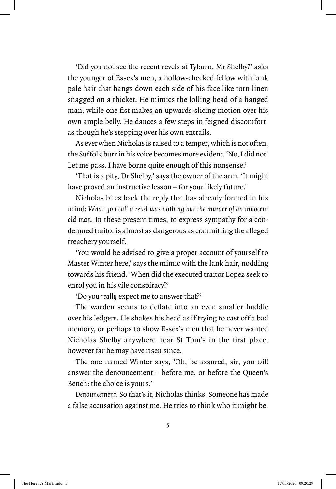'Did you not see the recent revels at Tyburn, Mr Shelby?' asks the younger of Essex's men, a hollow-cheeked fellow with lank pale hair that hangs down each side of his face like torn linen snagged on a thicket. He mimics the lolling head of a hanged man, while one fist makes an upwards-slicing motion over his own ample belly. He dances a few steps in feigned discomfort, as though he's stepping over his own entrails.

As ever when Nicholas is raised to a temper, which is not often, the Suffolk burr in his voice becomes more evident. 'No, I did not! Let me pass. I have borne quite enough of this nonsense.'

'That is a pity, Dr Shelby,' says the owner of the arm. 'It might have proved an instructive lesson – for your likely future.'

Nicholas bites back the reply that has already formed in his mind: *What you call a revel was nothing but the murder of an innocent old man.* In these present times, to express sympathy for a condemned traitor is almost as dangerous as committing the alleged treachery yourself.

'You would be advised to give a proper account of yourself to Master Winter here,' says the mimic with the lank hair, nodding towards his friend. 'When did the executed traitor Lopez seek to enrol you in his vile conspiracy?'

'Do you *really* expect me to answer that?'

The warden seems to deflate into an even smaller huddle over his ledgers. He shakes his head as if trying to cast off a bad memory, or perhaps to show Essex's men that he never wanted Nicholas Shelby anywhere near St Tom's in the first place, however far he may have risen since.

The one named Winter says, 'Oh, be assured, sir, you *will*  answer the denouncement – before me, or before the Queen's Bench: the choice is yours.'

*Denouncement.* So that's it, Nicholas thinks. Someone has made a false accusation against me. He tries to think who it might be.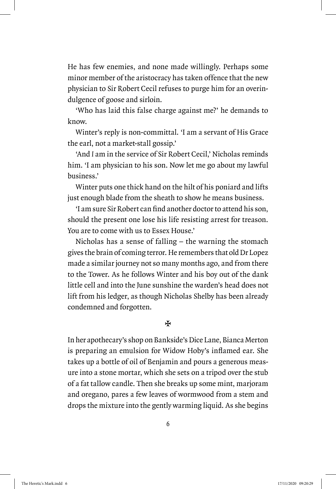He has few enemies, and none made willingly. Perhaps some minor member of the aristocracy has taken offence that the new physician to Sir Robert Cecil refuses to purge him for an overindulgence of goose and sirloin.

'Who has laid this false charge against me?' he demands to know.

Winter's reply is non-committal. 'I am a servant of His Grace the earl, not a market-stall gossip.'

'And *I* am in the service of Sir Robert Cecil,' Nicholas reminds him. 'I am physician to his son. Now let me go about my lawful business.'

Winter puts one thick hand on the hilt of his poniard and lifts just enough blade from the sheath to show he means business.

'I am sure Sir Robert can find another doctor to attend his son, should the present one lose his life resisting arrest for treason. You are to come with us to Essex House.'

Nicholas has a sense of falling – the warning the stomach gives the brain of coming terror. He remembers that old Dr Lopez made a similar journey not so many months ago, and from there to the Tower. As he follows Winter and his boy out of the dank little cell and into the June sunshine the warden's head does not lift from his ledger, as though Nicholas Shelby has been already condemned and forgotten.

#### -

In her apothecary's shop on Bankside's Dice Lane, Bianca Merton is preparing an emulsion for Widow Hoby's inflamed ear. She takes up a bottle of oil of Benjamin and pours a generous measure into a stone mortar, which she sets on a tripod over the stub of a fat tallow candle. Then she breaks up some mint, marjoram and oregano, pares a few leaves of wormwood from a stem and drops the mixture into the gently warming liquid. As she begins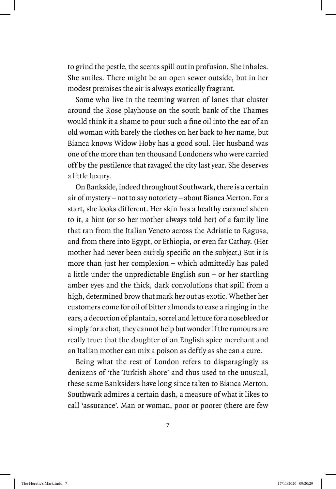to grind the pestle, the scents spill out in profusion. She inhales. She smiles. There might be an open sewer outside, but in her modest premises the air is always exotically fragrant.

Some who live in the teeming warren of lanes that cluster around the Rose playhouse on the south bank of the Thames would think it a shame to pour such a fine oil into the ear of an old woman with barely the clothes on her back to her name, but Bianca knows Widow Hoby has a good soul. Her husband was one of the more than ten thousand Londoners who were carried off by the pestilence that ravaged the city last year. She deserves a little luxury.

On Bankside, indeed throughout Southwark, there is a certain air of mystery – not to say notoriety – about Bianca Merton. For a start, she looks different. Her skin has a healthy caramel sheen to it, a hint (or so her mother always told her) of a family line that ran from the Italian Veneto across the Adriatic to Ragusa, and from there into Egypt, or Ethiopia, or even far Cathay. (Her mother had never been *entirely* specific on the subject.) But it is more than just her complexion – which admittedly has paled a little under the unpredictable English sun – or her startling amber eyes and the thick, dark convolutions that spill from a high, determined brow that mark her out as exotic. Whether her customers come for oil of bitter almonds to ease a ringing in the ears, a decoction of plantain, sorrel and lettuce for a nosebleed or simply for a chat, they cannot help but wonder if the rumours are really true: that the daughter of an English spice merchant and an Italian mother can mix a poison as deftly as she can a cure.

Being what the rest of London refers to disparagingly as denizens of 'the Turkish Shore' and thus used to the unusual, these same Banksiders have long since taken to Bianca Merton. Southwark admires a certain dash, a measure of what it likes to call 'assurance'. Man or woman, poor or poorer (there are few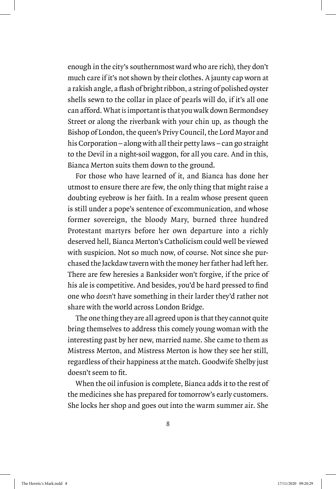enough in the city's southernmost ward who are rich), they don't much care if it's not shown by their clothes. A jaunty cap worn at a rakish angle, a flash of bright ribbon, a string of polished oyster shells sewn to the collar in place of pearls will do, if it's all one can afford. What *is* important is that you walk down Bermondsey Street or along the riverbank with your chin up, as though the Bishop of London, the queen's Privy Council, the Lord Mayor and his Corporation – along with all their petty laws – can go straight to the Devil in a night-soil waggon, for all you care. And in this, Bianca Merton suits them down to the ground.

For those who have learned of it, and Bianca has done her utmost to ensure there are few, the only thing that might raise a doubting eyebrow is her faith. In a realm whose present queen is still under a pope's sentence of excommunication, and whose former sovereign, the bloody Mary, burned three hundred Protestant martyrs before her own departure into a richly deserved hell, Bianca Merton's Catholicism could well be viewed with suspicion. Not so much now, of course. Not since she purchased the Jackdaw tavern with the money her father had left her. There are few heresies a Banksider won't forgive, if the price of his ale is competitive. And besides, you'd be hard pressed to find one who *doesn't* have something in their larder they'd rather not share with the world across London Bridge.

The one thing they are all agreed upon is that they cannot quite bring themselves to address this comely young woman with the interesting past by her new, married name. She came to them as Mistress Merton, and Mistress Merton is how they see her still, regardless of their happiness at the match. Goodwife Shelby just doesn't seem to fit.

When the oil infusion is complete, Bianca adds it to the rest of the medicines she has prepared for tomorrow's early customers. She locks her shop and goes out into the warm summer air. She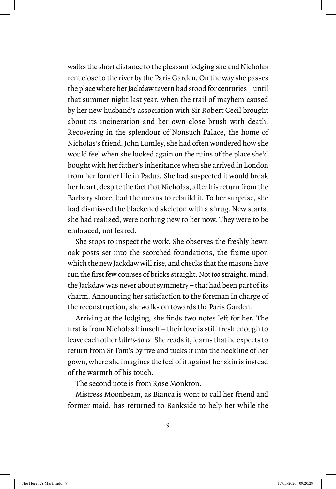walks the short distance to the pleasant lodging she and Nicholas rent close to the river by the Paris Garden. On the way she passes the place where her Jackdaw tavern had stood for centuries – until that summer night last year, when the trail of mayhem caused by her new husband's association with Sir Robert Cecil brought about its incineration and her own close brush with death. Recovering in the splendour of Nonsuch Palace, the home of Nicholas's friend, John Lumley, she had often wondered how she would feel when she looked again on the ruins of the place she'd bought with her father's inheritance when she arrived in London from her former life in Padua. She had suspected it would break her heart, despite the fact that Nicholas, after his return from the Barbary shore, had the means to rebuild it. To her surprise, she had dismissed the blackened skeleton with a shrug. New starts, she had realized, were nothing new to her now. They were to be embraced, not feared.

She stops to inspect the work. She observes the freshly hewn oak posts set into the scorched foundations, the frame upon which the new Jackdaw will rise, and checks that the masons have run the first few courses of bricks straight. Not *too* straight, mind; the Jackdaw was never about symmetry – that had been part of its charm. Announcing her satisfaction to the foreman in charge of the reconstruction, she walks on towards the Paris Garden.

Arriving at the lodging, she finds two notes left for her. The first is from Nicholas himself – their love is still fresh enough to leave each other *billets-doux.* She reads it, learns that he expects to return from St Tom's by five and tucks it into the neckline of her gown, where she imagines the feel of it against her skin is instead of the warmth of his touch.

The second note is from Rose Monkton.

Mistress Moonbeam, as Bianca is wont to call her friend and former maid, has returned to Bankside to help her while the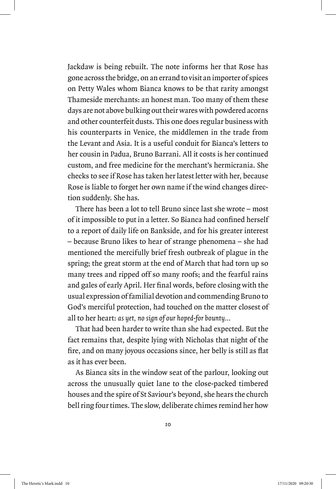Jackdaw is being rebuilt. The note informs her that Rose has gone across the bridge, on an errand to visit an importer of spices on Petty Wales whom Bianca knows to be that rarity amongst Thameside merchants: an honest man. Too many of them these days are not above bulking out their wares with powdered acorns and other counterfeit dusts. This one does regular business with his counterparts in Venice, the middlemen in the trade from the Levant and Asia. It is a useful conduit for Bianca's letters to her cousin in Padua, Bruno Barrani. All it costs is her continued custom, and free medicine for the merchant's hermicrania. She checks to see if Rose has taken her latest letter with her, because Rose is liable to forget her own name if the wind changes direction suddenly. She has.

There has been a lot to tell Bruno since last she wrote – most of it impossible to put in a letter. So Bianca had confined herself to a report of daily life on Bankside, and for his greater interest – because Bruno likes to hear of strange phenomena – she had mentioned the mercifully brief fresh outbreak of plague in the spring; the great storm at the end of March that had torn up so many trees and ripped off so many roofs; and the fearful rains and gales of early April. Her final words, before closing with the usual expression of familial devotion and commending Bruno to God's merciful protection, had touched on the matter closest of all to her heart: *as yet, no sign of our hoped-for bounty…*

That had been harder to write than she had expected. But the fact remains that, despite lying with Nicholas that night of the fire, and on many joyous occasions since, her belly is still as flat as it has ever been.

As Bianca sits in the window seat of the parlour, looking out across the unusually quiet lane to the close-packed timbered houses and the spire of St Saviour's beyond, she hears the church bell ring four times. The slow, deliberate chimes remind her how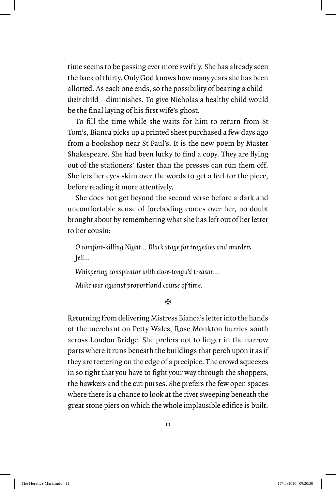time seems to be passing ever more swiftly. She has already seen the back of thirty. Only God knows how many years she has been allotted. As each one ends, so the possibility of bearing a child – *their* child – diminishes. To give Nicholas a healthy child would be the final laying of his first wife's ghost.

To fill the time while she waits for him to return from St Tom's, Bianca picks up a printed sheet purchased a few days ago from a bookshop near St Paul's. It is the new poem by Master Shakespeare. She had been lucky to find a copy. They are flying out of the stationers' faster than the presses can run them off. She lets her eyes skim over the words to get a feel for the piece, before reading it more attentively.

She does not get beyond the second verse before a dark and uncomfortable sense of foreboding comes over her, no doubt brought about by remembering what she has left out of her letter to her cousin:

*O comfort-killing Night… Black stage for tragedies and murders fell…*

*Whispering conspirator with close-tongu'd treason…*

*Make war against proportion'd course of time.*

-

Returning from delivering Mistress Bianca's letter into the hands of the merchant on Petty Wales, Rose Monkton hurries south across London Bridge. She prefers not to linger in the narrow parts where it runs beneath the buildings that perch upon it as if they are teetering on the edge of a precipice. The crowd squeezes in so tight that you have to fight your way through the shoppers, the hawkers and the cut-purses. She prefers the few open spaces where there is a chance to look at the river sweeping beneath the great stone piers on which the whole implausible edifice is built.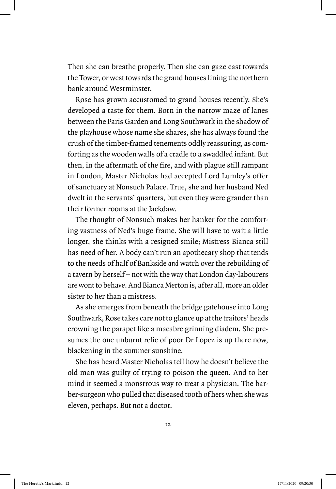Then she can breathe properly. Then she can gaze east towards the Tower, or west towards the grand houses lining the northern bank around Westminster.

Rose has grown accustomed to grand houses recently. She's developed a taste for them. Born in the narrow maze of lanes between the Paris Garden and Long Southwark in the shadow of the playhouse whose name she shares, she has always found the crush of the timber-framed tenements oddly reassuring, as comforting as the wooden walls of a cradle to a swaddled infant. But then, in the aftermath of the fire, and with plague still rampant in London, Master Nicholas had accepted Lord Lumley's offer of sanctuary at Nonsuch Palace. True, she and her husband Ned dwelt in the servants' quarters, but even they were grander than their former rooms at the Jackdaw.

The thought of Nonsuch makes her hanker for the comforting vastness of Ned's huge frame. She will have to wait a little longer, she thinks with a resigned smile; Mistress Bianca still has need of her. A body can't run an apothecary shop that tends to the needs of half of Bankside *and* watch over the rebuilding of a tavern by herself – not with the way that London day-labourers are wont to behave. And Bianca Merton is, after all, more an older sister to her than a mistress.

As she emerges from beneath the bridge gatehouse into Long Southwark, Rose takes care not to glance up at the traitors' heads crowning the parapet like a macabre grinning diadem. She presumes the one unburnt relic of poor Dr Lopez is up there now, blackening in the summer sunshine.

She has heard Master Nicholas tell how he doesn't believe the old man was guilty of trying to poison the queen. And to her mind it seemed a monstrous way to treat a physician. The barber-surgeon who pulled that diseased tooth of hers when she was eleven, perhaps. But not a doctor.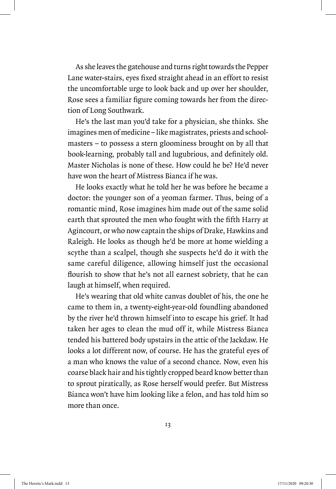As she leaves the gatehouse and turns right towards the Pepper Lane water-stairs, eyes fixed straight ahead in an effort to resist the uncomfortable urge to look back and up over her shoulder, Rose sees a familiar figure coming towards her from the direction of Long Southwark.

He's the last man you'd take for a physician, she thinks. She imagines men of medicine – like magistrates, priests and schoolmasters – to possess a stern gloominess brought on by all that book-learning, probably tall and lugubrious, and definitely old. Master Nicholas is none of these. How could he be? He'd never have won the heart of Mistress Bianca if he was.

He looks exactly what he told her he was before he became a doctor: the younger son of a yeoman farmer. Thus, being of a romantic mind, Rose imagines him made out of the same solid earth that sprouted the men who fought with the fifth Harry at Agincourt, or who now captain the ships of Drake, Hawkins and Raleigh. He looks as though he'd be more at home wielding a scythe than a scalpel, though she suspects he'd do it with the same careful diligence, allowing himself just the occasional flourish to show that he's not all earnest sobriety, that he can laugh at himself, when required.

He's wearing that old white canvas doublet of his, the one he came to them in, a twenty-eight-year-old foundling abandoned by the river he'd thrown himself into to escape his grief. It had taken her ages to clean the mud off it, while Mistress Bianca tended his battered body upstairs in the attic of the Jackdaw. He looks a lot different now, of course. He has the grateful eyes of a man who knows the value of a second chance. Now, even his coarse black hair and his tightly cropped beard know better than to sprout piratically, as Rose herself would prefer. But Mistress Bianca won't have him looking like a felon, and has told him so more than once.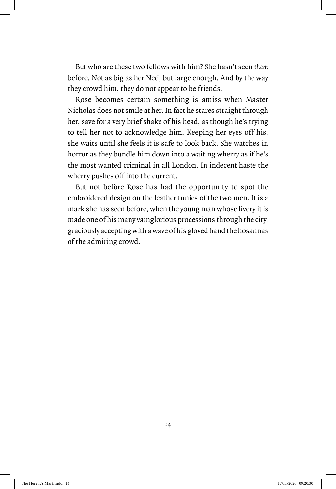But who are these two fellows with him? She hasn't seen *them* before. Not as big as her Ned, but large enough. And by the way they crowd him, they do not appear to be friends.

Rose becomes certain something is amiss when Master Nicholas does not smile at her. In fact he stares straight through her, save for a very brief shake of his head, as though he's trying to tell her not to acknowledge him. Keeping her eyes off his, she waits until she feels it is safe to look back. She watches in horror as they bundle him down into a waiting wherry as if he's the most wanted criminal in all London. In indecent haste the wherry pushes off into the current.

But not before Rose has had the opportunity to spot the embroidered design on the leather tunics of the two men. It is a mark she has seen before, when the young man whose livery it is made one of his many vainglorious processions through the city, graciously accepting with a wave of his gloved hand the hosannas of the admiring crowd.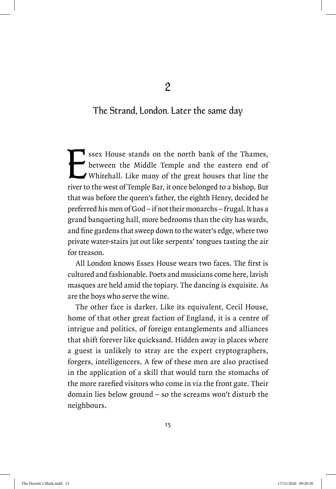The Strand, London. Later the same day

ssex House stands on the north bank of the Thames,<br>between the Middle Temple and the eastern end of<br>Whitehall. Like many of the great houses that line the<br>river to the west of Temple Bar, it once belonged to a bishop. But ssex House stands on the north bank of the Thames, between the Middle Temple and the eastern end of Whitehall. Like many of the great houses that line the that was before the queen's father, the eighth Henry, decided he preferred his men of God – if not their monarchs – frugal. It has a grand banqueting hall, more bedrooms than the city has wards, and fine gardens that sweep down to the water's edge, where two private water-stairs jut out like serpents' tongues tasting the air for treason.

All London knows Essex House wears two faces. The first is cultured and fashionable. Poets and musicians come here, lavish masques are held amid the topiary. The dancing is exquisite. As are the boys who serve the wine.

The other face is darker. Like its equivalent, Cecil House, home of that other great faction of England, it is a centre of intrigue and politics, of foreign entanglements and alliances that shift forever like quicksand. Hidden away in places where a guest is unlikely to stray are the expert cryptographers, forgers, intelligencers. A few of these men are also practised in the application of a skill that would turn the stomachs of the more rarefied visitors who come in via the front gate. Their domain lies below ground – so the screams won't disturb the neighbours.

2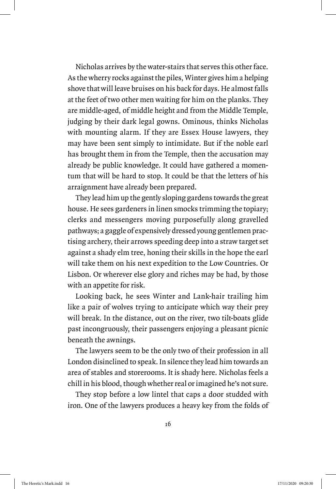Nicholas arrives by the water-stairs that serves this other face. As the wherry rocks against the piles, Winter gives him a helping shove that will leave bruises on his back for days. He almost falls at the feet of two other men waiting for him on the planks. They are middle-aged, of middle height and from the Middle Temple, judging by their dark legal gowns. Ominous, thinks Nicholas with mounting alarm. If they are Essex House lawyers, they may have been sent simply to intimidate. But if the noble earl has brought them in from the Temple, then the accusation may already be public knowledge. It could have gathered a momentum that will be hard to stop. It could be that the letters of his arraignment have already been prepared.

They lead him up the gently sloping gardens towards the great house. He sees gardeners in linen smocks trimming the topiary; clerks and messengers moving purposefully along gravelled pathways; a gaggle of expensively dressed young gentlemen practising archery, their arrows speeding deep into a straw target set against a shady elm tree, honing their skills in the hope the earl will take them on his next expedition to the Low Countries. Or Lisbon. Or wherever else glory and riches may be had, by those with an appetite for risk.

Looking back, he sees Winter and Lank-hair trailing him like a pair of wolves trying to anticipate which way their prey will break. In the distance, out on the river, two tilt-boats glide past incongruously, their passengers enjoying a pleasant picnic beneath the awnings.

The lawyers seem to be the only two of their profession in all London disinclined to speak. In silence they lead him towards an area of stables and storerooms. It is shady here. Nicholas feels a chill in his blood, though whether real or imagined he's not sure.

They stop before a low lintel that caps a door studded with iron. One of the lawyers produces a heavy key from the folds of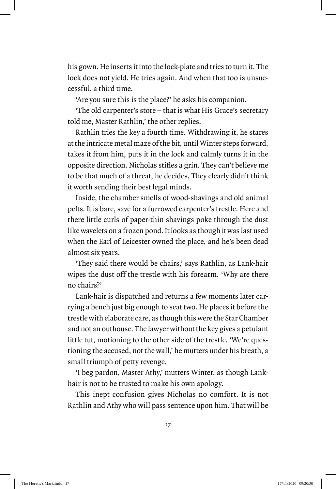his gown. He inserts it into the lock-plate and tries to turn it. The lock does not yield. He tries again. And when that too is unsuccessful, a third time.

'Are you sure this is the place?' he asks his companion.

'The old carpenter's store – that is what His Grace's secretary told me, Master Rathlin,' the other replies.

Rathlin tries the key a fourth time. Withdrawing it, he stares at the intricate metal maze of the bit, until Winter steps forward, takes it from him, puts it in the lock and calmly turns it in the opposite direction. Nicholas stifles a grin. They can't believe me to be that much of a threat, he decides. They clearly didn't think it worth sending their best legal minds.

Inside, the chamber smells of wood-shavings and old animal pelts. It is bare, save for a furrowed carpenter's trestle. Here and there little curls of paper-thin shavings poke through the dust like wavelets on a frozen pond. It looks as though it was last used when the Earl of Leicester owned the place, and he's been dead almost six years.

'They said there would be chairs,' says Rathlin, as Lank-hair wipes the dust off the trestle with his forearm. 'Why are there no chairs?'

Lank-hair is dispatched and returns a few moments later carrying a bench just big enough to seat two. He places it before the trestle with elaborate care, as though this were the Star Chamber and not an outhouse. The lawyer without the key gives a petulant little tut, motioning to the other side of the trestle. 'We're questioning the accused, not the wall,' he mutters under his breath, a small triumph of petty revenge.

'I beg pardon, Master Athy,' mutters Winter, as though Lankhair is not to be trusted to make his own apology.

This inept confusion gives Nicholas no comfort. It is not Rathlin and Athy who will pass sentence upon him. That will be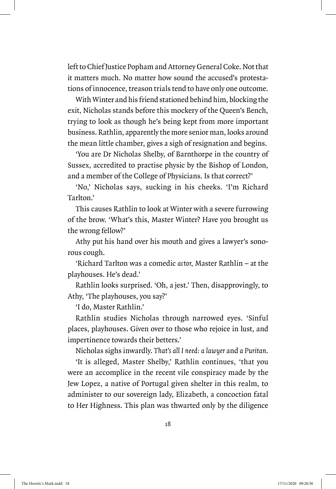left to Chief Justice Popham and Attorney General Coke. Not that it matters much. No matter how sound the accused's protestations of innocence, treason trials tend to have only one outcome.

With Winter and his friend stationed behind him, blocking the exit, Nicholas stands before this mockery of the Queen's Bench, trying to look as though he's being kept from more important business. Rathlin, apparently the more senior man, looks around the mean little chamber, gives a sigh of resignation and begins.

'You are Dr Nicholas Shelby, of Barnthorpe in the country of Sussex, accredited to practise physic by the Bishop of London, and a member of the College of Physicians. Is that correct?'

'No,' Nicholas says, sucking in his cheeks. 'I'm Richard Tarlton.'

This causes Rathlin to look at Winter with a severe furrowing of the brow. 'What's this, Master Winter? Have you brought us the wrong fellow?'

Athy put his hand over his mouth and gives a lawyer's sonorous cough.

'Richard Tarlton was a comedic *actor*, Master Rathlin – at the playhouses. He's dead.'

Rathlin looks surprised. 'Oh, a jest.' Then, disapprovingly, to Athy, 'The playhouses, you say?'

'I do, Master Rathlin.'

Rathlin studies Nicholas through narrowed eyes. 'Sinful places, playhouses. Given over to those who rejoice in lust, and impertinence towards their betters.'

Nicholas sighs inwardly. *That's all I need: a lawyer* and *a Puritan*.

'It is alleged, Master Shelby,' Rathlin continues, 'that you were an accomplice in the recent vile conspiracy made by the Jew Lopez, a native of Portugal given shelter in this realm, to administer to our sovereign lady, Elizabeth, a concoction fatal to Her Highness. This plan was thwarted only by the diligence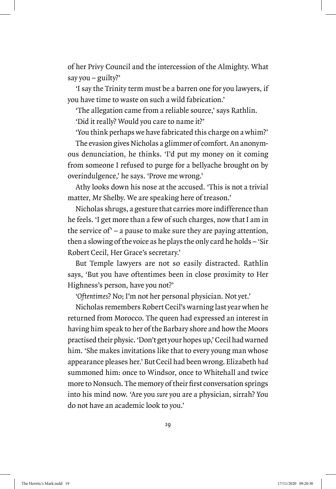of her Privy Council and the intercession of the Almighty. What say you – guilty?'

'I say the Trinity term must be a barren one for you lawyers, if you have time to waste on such a wild fabrication.'

'The allegation came from a reliable source,' says Rathlin.

'Did it really? Would you care to name it?'

'You think perhaps we have fabricated this charge on a whim?'

The evasion gives Nicholas a glimmer of comfort. An anonymous denunciation, he thinks. 'I'd put my money on it coming from someone I refused to purge for a bellyache brought on by overindulgence,' he says. 'Prove me wrong.'

Athy looks down his nose at the accused. 'This is not a trivial matter, Mr Shelby. We are speaking here of treason.'

Nicholas shrugs, a gesture that carries more indifference than he feels. 'I get more than a few of such charges, now that I am in the service of  $-$  a pause to make sure they are paying attention, then a slowing of the voice as he plays the only card he holds – 'Sir Robert Cecil, Her Grace's secretary.'

But Temple lawyers are not so easily distracted. Rathlin says, 'But you have oftentimes been in close proximity to Her Highness's person, have you not?'

'*Oftentimes*? No; I'm not her personal physician. Not yet.'

Nicholas remembers Robert Cecil's warning last year when he returned from Morocco. The queen had expressed an interest in having him speak to her of the Barbary shore and how the Moors practised their physic. 'Don't get your hopes up,' Cecil had warned him. 'She makes invitations like that to every young man whose appearance pleases her.' But Cecil had been wrong. Elizabeth *had*  summoned him: once to Windsor, once to Whitehall and twice more to Nonsuch. The memory of their first conversation springs into his mind now. 'Are you *sure* you are a physician, sirrah? You do not have an academic look to you.'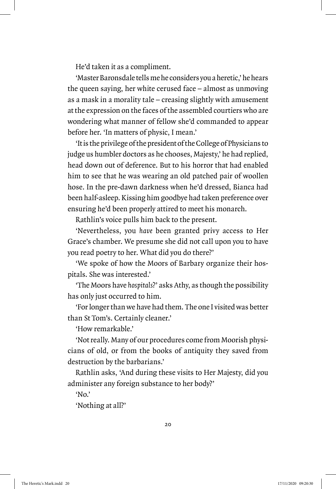He'd taken it as a compliment.

'Master Baronsdale tells me he considers you a heretic,' he hears the queen saying, her white cerused face – almost as unmoving as a mask in a morality tale – creasing slightly with amusement at the expression on the faces of the assembled courtiers who are wondering what manner of fellow she'd commanded to appear before her. 'In matters of physic, I mean.'

'It is the privilege of the president of the College of Physicians to judge us humbler doctors as he chooses, Majesty,' he had replied, head down out of deference. But to his horror that had enabled him to see that he was wearing an old patched pair of woollen hose. In the pre-dawn darkness when he'd dressed, Bianca had been half-asleep. Kissing him goodbye had taken preference over ensuring he'd been properly attired to meet his monarch.

Rathlin's voice pulls him back to the present.

'Nevertheless, you *have* been granted privy access to Her Grace's chamber. We presume she did not call upon you to have you read poetry to her. What did you do there?'

'We spoke of how the Moors of Barbary organize their hospitals. She was interested.'

'The Moors have *hospitals*?' asks Athy, as though the possibility has only just occurred to him.

'For longer than we have had them. The one I visited was better than St Tom's. Certainly cleaner.'

'How remarkable.'

'Not really. Many of our procedures come from Moorish physicians of old, or from the books of antiquity they saved from destruction by the barbarians.'

Rathlin asks, 'And during these visits to Her Majesty, did you administer any foreign substance to her body?'

'No.'

'Nothing at all?'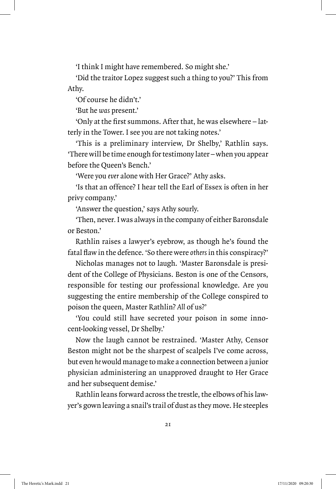'I think I might have remembered. So might she.'

'Did the traitor Lopez suggest such a thing to you?' This from Athy.

'Of course he didn't.'

'But he *was* present.'

'Only at the first summons. After that, he was elsewhere – latterly in the Tower. I see you are not taking notes.'

'This is a preliminary interview, Dr Shelby,' Rathlin says. 'There will be time enough for testimony later – when you appear before the Queen's Bench.'

'Were you *ever* alone with Her Grace?' Athy asks.

'Is that an offence? I hear tell the Earl of Essex is often in her privy company.'

'Answer the question,' says Athy sourly.

'Then, never*.* I was always in the company of either Baronsdale or Beston.'

Rathlin raises a lawyer's eyebrow, as though he's found the fatal flaw in the defence. 'So there were *others* in this conspiracy?'

Nicholas manages not to laugh. 'Master Baronsdale is president of the College of Physicians. Beston is one of the Censors, responsible for testing our professional knowledge. Are you suggesting the entire membership of the College conspired to poison the queen, Master Rathlin? *All* of us?'

'You could still have secreted your poison in some innocent-looking vessel, Dr Shelby.'

Now the laugh cannot be restrained. 'Master Athy, Censor Beston might not be the sharpest of scalpels I've come across, but even *he* would manage to make a connection between a junior physician administering an unapproved draught to Her Grace and her subsequent demise.'

Rathlin leans forward across the trestle, the elbows of his lawyer's gown leaving a snail's trail of dust as they move. He steeples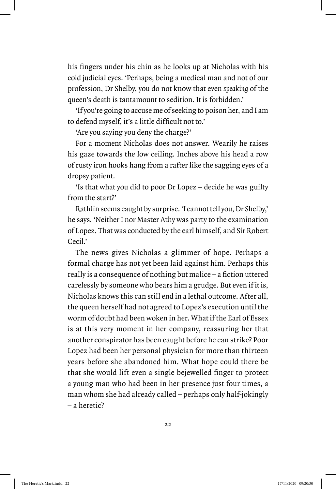his fingers under his chin as he looks up at Nicholas with his cold judicial eyes. 'Perhaps, being a medical man and not of our profession, Dr Shelby, you do not know that even *speaking* of the queen's death is tantamount to sedition. It is forbidden.'

'If you're going to accuse me of seeking to poison her, and I am to defend myself, it's a little difficult not to.'

'Are you saying you deny the charge?'

For a moment Nicholas does not answer. Wearily he raises his gaze towards the low ceiling. Inches above his head a row of rusty iron hooks hang from a rafter like the sagging eyes of a dropsy patient.

'Is that what you did to poor Dr Lopez – decide he was guilty from the start?'

Rathlin seems caught by surprise. 'I cannot tell you, Dr Shelby,' he says. 'Neither I nor Master Athy was party to the examination of Lopez. That was conducted by the earl himself, and Sir Robert Cecil.'

The news gives Nicholas a glimmer of hope. Perhaps a formal charge has not yet been laid against him. Perhaps this really is a consequence of nothing but malice  $-$  a fiction uttered carelessly by someone who bears him a grudge. But even if it is, Nicholas knows this can still end in a lethal outcome. After all, the queen herself had not agreed to Lopez's execution until the worm of doubt had been woken in her. What if the Earl of Essex is at this very moment in her company, reassuring her that another conspirator has been caught before he can strike? Poor Lopez had been her personal physician for more than thirteen years before she abandoned him. What hope could there be that she would lift even a single bejewelled finger to protect a young man who had been in her presence just four times, a man whom she had already called – perhaps only half-jokingly – a heretic?